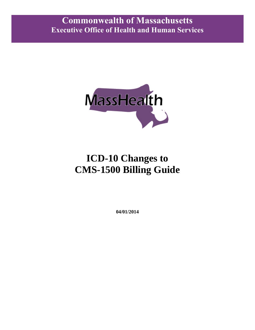

# **ICD-10 Changes to CMS-1500 Billing Guide**

**04/01/2014**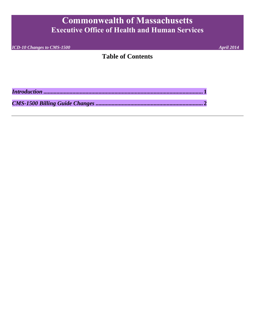*ICD-10 Changes to CMS-1500* April 2014

#### **Table of Contents**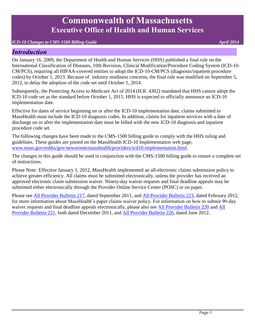#### *ICD-10 Changes to CMS-1500 Billing Guide* April 2014 **April 2014**

#### <span id="page-2-0"></span>*Introduction*

On January 16, 2009, the Department of Health and Human Services (HHS) published a final rule on the International Classification of Diseases, 10th Revision, Clinical Modification/Procedure Coding System (ICD-10- CM/PCS), requiring all HIPAA-covered entities to adopt the ICD-10-CM/PCS (diagnosis/inpatient procedure codes) by October 1, 2013. Because of industry readiness concerns, the final rule was modified on September 5, 2012, to delay the adoption of the code set until October 1, 2014.

Subsequently, the Protecting Access to Medicare Act of 2014 (H.R. 4302) mandated that HHS cannot adopt the ICD-10 code set as the standard before October 1, 2015. HHS is expected to officially announce an ICD-10 implementation date.

Effective for dates of service beginning on or after the ICD-10 implementation date, claims submitted to MassHealth must include the ICD-10 diagnosis codes. In addition, claims for inpatient services with a date of discharge on or after the implementation date must be billed with the new ICD-10 diagnosis and inpatient procedure code set.

The following changes have been made to the CMS-1500 billing guide to comply with the HHS ruling and guidelines. These guides are posted on the MassHealth ICD-10 Implementation web page, [www.mass.gov/eohhs/gov/newsroom/masshealth/providers/icd10-implementation.html.](http://www.mass.gov/eohhs/gov/newsroom/masshealth/providers/icd10-implementation.html)

The changes in this guide should be used in conjunction with the CMS-1500 billing guide to ensure a complete set of instructions.

Please Note: Effective January 1, 2012, MassHealth implemented an all-electronic claims submission policy to achieve greater efficiency. All claims must be submitted electronically, unless the provider has received an approved electronic claim submission waiver. Ninety-day waiver requests and final deadline appeals may be submitted either electronically through the Provider Online Service Center (POSC) or on paper.

Please see [All Provider Bulletin 217,](http://www.mass.gov/eohhs/docs/masshealth/bull-2011/all-217.pdf) dated September 2011, and [All Provider Bulletin 223,](http://www.mass.gov/eohhs/docs/masshealth/bull-2012/all-223.pdf) dated February 2012, for more information about MassHealth's paper claims waiver policy. For information on how to submit 90-day waiver requests and final deadline appeals electronically, please also see [All Provider Bulletin 220](http://www.mass.gov/eohhs/docs/masshealth/bull-2011/all-220.pdf) and [All](http://www.mass.gov/eohhs/docs/masshealth/bull-2011/all-221.pdf)  [Provider Bulletin 221,](http://www.mass.gov/eohhs/docs/masshealth/bull-2011/all-221.pdf) both dated December 2011, and [All Provider Bulletin 226,](http://www.mass.gov/eohhs/docs/masshealth/bull-2012/all-226.pdf) dated June 2012.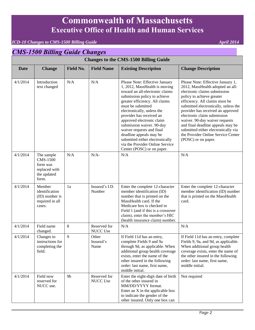#### *ICD-10 Changes to CMS-1500 Billing Guide* April 2014<sup></sup>

#### <span id="page-3-0"></span>*CMS-1500 Billing Guide Changes*  **Changes to the CMS-1500 Billing Guide Date Change Field No. Field Name Existing Description Change Description**  4/1/2014 Introduction text changed N/A N/A Please Note: Effective January 1, 2012, MassHealth is moving toward an all-electronic claims submission policy to achieve greater efficiency. All claims must be submitted electronically, unless the provider has received an approved electronic claim submission waiver. 90-day waiver requests and final deadline appeals may be submitted either electronically via the Provider Online Service Center (POSC) or on paper. Please Note: Effective January 1, 2012, MassHealth adopted an allelectronic claims submission policy to achieve greater efficiency. All claims must be submitted electronically, unless the provider has received an approved electronic claim submission waiver. 90-day waiver requests and final deadline appeals may be submitted either electronically via the Provider Online Service Center (POSC) or on paper. 4/1/2014 The sample CMS-1500 form was replaced with the updated form.  $N/A$   $N/A$   $N/A$ 4/1/2014 Member identification (ID) number is required in all cases. 1a Insured's I.D. Number Enter the complete 12-character member identification (ID) number that is printed on the MassHealth card. If the Medicare box is checked in Field 1 (and if this is a crossover claim), enter the member's HIC (health insurance claim) number. Enter the complete 12-character member identification (ID) number that is printed on the MassHealth card. 4/1/2014 Field name changed. 8 Reserved for NUCC Use N/A N/A  $4/1/2014$  Changes to instructions for completing the field. 9 Other Insured's Name If Field 11d has an entry, complete Fields 9 and 9a through 9d, as applicable. When additional group health coverage exists, enter the name of the other insured in the following order: last name, first name, middle initial. If Field 11d has an entry, complete Fields 9, 9a, and 9d, as applicable. When additional group health coverage exists, enter the name of the other insured in the following order: last name, first name, middle initial.  $4/1/2014$  Field now reserved for NUCC use. 9b Reserved for NUCC Use Enter the eight-digit date of birth of the other insured in MM/DD/YYYY format. Enter an X in the applicable box to indicate the gender of the Not required

other insured. Only one box can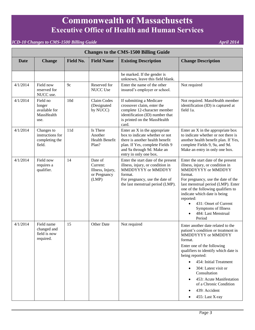| <b>Changes to the CMS-1500 Billing Guide</b> |                                                            |                  |                                                                  |                                                                                                                                                                                               |                                                                                                                                                                                                                                                                                                                                                                                                                                 |  |
|----------------------------------------------|------------------------------------------------------------|------------------|------------------------------------------------------------------|-----------------------------------------------------------------------------------------------------------------------------------------------------------------------------------------------|---------------------------------------------------------------------------------------------------------------------------------------------------------------------------------------------------------------------------------------------------------------------------------------------------------------------------------------------------------------------------------------------------------------------------------|--|
| Date                                         | <b>Change</b>                                              | <b>Field No.</b> | <b>Field Name</b>                                                | <b>Existing Description</b>                                                                                                                                                                   | <b>Change Description</b>                                                                                                                                                                                                                                                                                                                                                                                                       |  |
|                                              |                                                            |                  |                                                                  | be marked. If the gender is<br>unknown, leave this field blank.                                                                                                                               |                                                                                                                                                                                                                                                                                                                                                                                                                                 |  |
| 4/1/2014                                     | Field now<br>reserved for<br>NUCC use.                     | 9c               | Reserved for<br>NUCC Use                                         | Enter the name of the other<br>insured's employer or school.                                                                                                                                  | Not required                                                                                                                                                                                                                                                                                                                                                                                                                    |  |
| 4/1/2014                                     | Field no<br>longer<br>available for<br>MassHealth<br>use.  | 10d              | Claim Codes<br>(Designated<br>by NUCC)                           | If submitting a Medicare<br>crossover claim, enter the<br>complete 12-character member<br>identification (ID) number that<br>is printed on the MassHealth<br>card.                            | Not required. MassHealth member<br>identification (ID) is captured at<br>field 1a.                                                                                                                                                                                                                                                                                                                                              |  |
| 4/1/2014                                     | Changes to<br>instructions for<br>completing the<br>field. | 11d              | Is There<br>Another<br><b>Health Benefit</b><br>Plan?            | Enter an X in the appropriate<br>box to indicate whether or not<br>there is another health benefit<br>plan. If Yes, complete Fields 9<br>and 9a through 9d. Make an<br>entry in only one box. | Enter an X in the appropriate box<br>to indicate whether or not there is<br>another health benefit plan. If Yes,<br>complete Fields 9, 9a, and 9d.<br>Make an entry in only one box.                                                                                                                                                                                                                                            |  |
| 4/1/2014                                     | Field now<br>requires a<br>qualifier.                      | 14               | Date of<br>Current:<br>Illness, Injury,<br>or Pregnancy<br>(LMP) | Enter the start date of the present<br>illness, injury, or condition in<br>MMDDYYYY or MMDDYY<br>format.<br>For pregnancy, use the date of<br>the last menstrual period (LMP).                | Enter the start date of the present<br>illness, injury, or condition in<br>MMDDYYYY or MMDDYY<br>format.<br>For pregnancy, use the date of the<br>last menstrual period (LMP). Enter<br>one of the following qualifiers to<br>indicate which date is being<br>reported:<br>431: Onset of Current<br>$\bullet$<br>Symptoms of Illness<br>484: Last Menstrual<br>$\bullet$<br>Period                                              |  |
| 4/1/2014                                     | Field name<br>changed and<br>field is now<br>required.     | 15               | Other Date                                                       | Not required                                                                                                                                                                                  | Enter another date related to the<br>patient's condition or treatment in<br>MMDDYYYY or MMDDYY<br>format.<br>Enter one of the following<br>qualifiers to identify which date is<br>being reported:<br>454: Initial Treatment<br>$\bullet$<br>304: Latest visit or<br>$\bullet$<br>Consultation<br>453: Acute Manifestation<br>$\bullet$<br>of a Chronic Condition<br>439: Accident<br>$\bullet$<br>455: Last X-ray<br>$\bullet$ |  |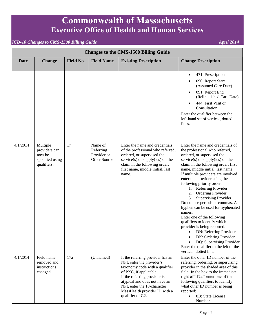| <b>Changes to the CMS-1500 Billing Guide</b> |                                                                       |                  |                                                     |                                                                                                                                                                                                                                                                                |                                                                                                                                                                                                                                                                                                                                                                                                                                                                                                                                                                                                                                                                                                                                                          |  |
|----------------------------------------------|-----------------------------------------------------------------------|------------------|-----------------------------------------------------|--------------------------------------------------------------------------------------------------------------------------------------------------------------------------------------------------------------------------------------------------------------------------------|----------------------------------------------------------------------------------------------------------------------------------------------------------------------------------------------------------------------------------------------------------------------------------------------------------------------------------------------------------------------------------------------------------------------------------------------------------------------------------------------------------------------------------------------------------------------------------------------------------------------------------------------------------------------------------------------------------------------------------------------------------|--|
| <b>Date</b>                                  | <b>Change</b>                                                         | <b>Field No.</b> | <b>Field Name</b>                                   | <b>Existing Description</b>                                                                                                                                                                                                                                                    | <b>Change Description</b>                                                                                                                                                                                                                                                                                                                                                                                                                                                                                                                                                                                                                                                                                                                                |  |
|                                              |                                                                       |                  |                                                     |                                                                                                                                                                                                                                                                                | 471: Prescription<br>$\bullet$<br>090: Report Start<br>$\bullet$<br>(Assumed Care Date)<br>091: Report End<br>$\bullet$<br>(Relinquished Care Date)<br>444: First Visit or<br>$\bullet$<br>Consultation<br>Enter the qualifier between the<br>left-hand set of vertical, dotted<br>lines.                                                                                                                                                                                                                                                                                                                                                                                                                                                                |  |
| 4/1/2014                                     | Multiple<br>providers can<br>now be<br>specified using<br>qualifiers. | 17               | Name of<br>Referring<br>Provider or<br>Other Source | Enter the name and credentials<br>of the professional who referred,<br>ordered, or supervised the<br>service(s) or supply(ies) on the<br>claim in the following order:<br>first name, middle initial, last<br>name.                                                            | Enter the name and credentials of<br>the professional who referred,<br>ordered, or supervised the<br>$s$ ervice $(s)$ or supply $(ies)$ on the<br>claim in the following order: first<br>name, middle initial, last name.<br>If multiple providers are involved,<br>enter one provider using the<br>following priority order:<br>1. Referring Provider<br>Ordering Provider<br>2.<br><b>Supervising Provider</b><br>3.<br>Do not use periods or commas. A<br>hyphen can be used for hyphenated<br>names.<br>Enter one of the following<br>qualifiers to identify which<br>provider is being reported:<br>DN: Referring Provider<br>DK: Ordering Provider<br>DQ: Supervising Provider<br>Enter the qualifier to the left of the<br>vertical, dotted line. |  |
| 4/1/2014                                     | Field name<br>removed and<br>instructions<br>changed.                 | 17a              | (Unnamed)                                           | If the referring provider has an<br>NPI, enter the provider's<br>taxonomy code with a qualifier<br>of PXC, if applicable.<br>If the referring provider is<br>atypical and does not have an<br>NPI, enter the 10-character<br>MassHealth provider ID with a<br>qualifier of G2. | Enter the other ID number of the<br>referring, ordering, or supervising<br>provider in the shaded area of this<br>field. In the box to the immediate<br>right of "17a." enter one of the<br>following qualifiers to identify<br>what other ID number is being<br>reported:<br>0B: State License<br>$\bullet$<br>Number                                                                                                                                                                                                                                                                                                                                                                                                                                   |  |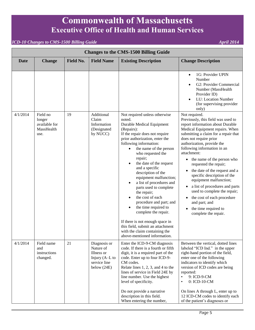| <b>Changes to the CMS-1500 Billing Guide</b> |                                                           |                  |                                                                                            |                                                                                                                                                                                                                                                                                                                                                                                                                                                                                                                                                                                                                                                                               |                                                                                                                                                                                                                                                                                                                                                                                                                                                                                                                                                                                                                                                     |
|----------------------------------------------|-----------------------------------------------------------|------------------|--------------------------------------------------------------------------------------------|-------------------------------------------------------------------------------------------------------------------------------------------------------------------------------------------------------------------------------------------------------------------------------------------------------------------------------------------------------------------------------------------------------------------------------------------------------------------------------------------------------------------------------------------------------------------------------------------------------------------------------------------------------------------------------|-----------------------------------------------------------------------------------------------------------------------------------------------------------------------------------------------------------------------------------------------------------------------------------------------------------------------------------------------------------------------------------------------------------------------------------------------------------------------------------------------------------------------------------------------------------------------------------------------------------------------------------------------------|
| Date                                         | <b>Change</b>                                             | <b>Field No.</b> | <b>Field Name</b>                                                                          | <b>Existing Description</b>                                                                                                                                                                                                                                                                                                                                                                                                                                                                                                                                                                                                                                                   | <b>Change Description</b>                                                                                                                                                                                                                                                                                                                                                                                                                                                                                                                                                                                                                           |
|                                              |                                                           |                  |                                                                                            |                                                                                                                                                                                                                                                                                                                                                                                                                                                                                                                                                                                                                                                                               | 1G: Provider UPIN<br>$\bullet$<br>Number<br>G2: Provider Commercial<br>$\bullet$<br>Number (MassHealth<br>Provider ID)<br>LU: Location Number<br>$\bullet$<br>(for supervising provider<br>only)                                                                                                                                                                                                                                                                                                                                                                                                                                                    |
| 4/1/2014                                     | Field no<br>longer<br>available for<br>MassHealth<br>use. | 19               | Additional<br>Claim<br>Information<br>(Designated<br>by NUCC)                              | Not required unless otherwise<br>noted.<br>Durable Medical Equipment<br>(Repairs):<br>If the repair does not require<br>prior authorization, enter the<br>following information:<br>the name of the person<br>$\bullet$<br>who requested the<br>repair;<br>the date of the request<br>and a specific<br>description of the<br>equipment malfunction;<br>a list of procedures and<br>parts used to complete<br>the repair;<br>the cost of each<br>procedure and part; and<br>the time required to<br>$\bullet$<br>complete the repair.<br>If there is not enough space in<br>this field, submit an attachment<br>with the claim containing the<br>above-mentioned information. | Not required.<br>Previously, this field was used to<br>report information about Durable<br>Medical Equipment repairs. When<br>submitting a claim for a repair that<br>does not require prior<br>authorization, provide the<br>following information in an<br>attachment:<br>the name of the person who<br>$\bullet$<br>requested the repair;<br>the date of the request and a<br>$\bullet$<br>specific description of the<br>equipment malfunction;<br>a list of procedures and parts<br>$\bullet$<br>used to complete the repair;<br>the cost of each procedure<br>٠<br>and part; and<br>the time required to<br>$\bullet$<br>complete the repair. |
| 4/1/2014                                     | Field name<br>and<br>instructions<br>changed.             | 21               | Diagnosis or<br>Nature of<br>Illness or<br>Injury (A-L to<br>service line<br>below $(24E)$ | Enter the ICD-9-CM diagnosis<br>code. If there is a fourth or fifth<br>digit, it is a required part of the<br>code. Enter up to four ICD-9-<br>CM codes.<br>Relate lines $1, 2, 3$ , and $4$ to the<br>lines of service in Field 24E by<br>line number. Use the highest<br>level of specificity.<br>Do not provide a narrative<br>description in this field.                                                                                                                                                                                                                                                                                                                  | Between the vertical, dotted lines<br>labeled "ICD Ind." in the upper<br>right-hand portion of the field,<br>enter one of the following<br>indicators to identify which<br>version of ICD codes are being<br>reported:<br>9: ICD-9-CM<br>$\bullet$<br>0: ICD-10-CM<br>$\bullet$<br>On lines A through L, enter up to<br>12 ICD-CM codes to identify each                                                                                                                                                                                                                                                                                            |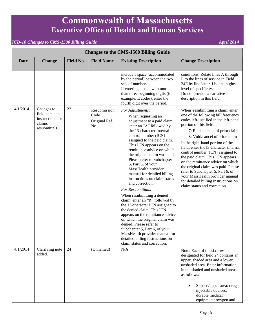| <b>Changes to the CMS-1500 Billing Guide</b> |                                                                             |                  |                                              |                                                                                                                                                                                                                                                                                                                                                                                                                                                                                                                                                                                                                                                                                                                                                                                                                                              |                                                                                                                                                                                                                                                                                                                                                                                                                                                                                                                                                                                                |  |
|----------------------------------------------|-----------------------------------------------------------------------------|------------------|----------------------------------------------|----------------------------------------------------------------------------------------------------------------------------------------------------------------------------------------------------------------------------------------------------------------------------------------------------------------------------------------------------------------------------------------------------------------------------------------------------------------------------------------------------------------------------------------------------------------------------------------------------------------------------------------------------------------------------------------------------------------------------------------------------------------------------------------------------------------------------------------------|------------------------------------------------------------------------------------------------------------------------------------------------------------------------------------------------------------------------------------------------------------------------------------------------------------------------------------------------------------------------------------------------------------------------------------------------------------------------------------------------------------------------------------------------------------------------------------------------|--|
| <b>Date</b>                                  | <b>Change</b>                                                               | <b>Field No.</b> | <b>Field Name</b>                            | <b>Existing Description</b>                                                                                                                                                                                                                                                                                                                                                                                                                                                                                                                                                                                                                                                                                                                                                                                                                  | <b>Change Description</b>                                                                                                                                                                                                                                                                                                                                                                                                                                                                                                                                                                      |  |
|                                              |                                                                             |                  |                                              | include a space (accommodated<br>by the period) between the two<br>sets of numbers.<br>If entering a code with more<br>than three beginning digits (for<br>example, E codes), enter the<br>fourth digit over the period.                                                                                                                                                                                                                                                                                                                                                                                                                                                                                                                                                                                                                     | conditions. Relate lines A through<br>L to the lines of service in Field<br>24E by line letter. Use the highest<br>level of specificity.<br>Do not provide a narrative<br>description in this field.                                                                                                                                                                                                                                                                                                                                                                                           |  |
| 4/1/2014                                     | Changes to<br>field name and<br>instructions for<br>claims<br>resubmittals. | 22               | Resubmission<br>Code<br>Original Ref.<br>No. | For Adjustments:<br>When requesting an<br>adjustment to a paid claim,<br>enter an "A" followed by<br>the 13-character internal<br>control number (ICN)<br>assigned to the paid claim.<br>This ICN appears on the<br>remittance advice on which<br>the original claim was paid.<br>Please refer to Subchapter<br>5, Part 6, of your<br>MassHealth provider<br>manual for detailed billing<br>instructions on claim status<br>and correction.<br>For Resubmittals:<br>When resubmitting a denied<br>claim, enter an "R" followed by<br>the 13-character ICN assigned to<br>the denied claim. This ICN<br>appears on the remittance advice<br>on which the original claim was<br>denied. Please refer to<br>Subchapter 5, Part 6, of your<br>MassHealth provider manual for<br>detailed billing instructions on<br>claim status and correction. | When resubmitting a claim, enter<br>one of the following bill frequency<br>codes left-justified in the left-hand<br>portion of this field:<br>7: Replacement of prior claim<br>8: Void/cancel of prior claim<br>In the right-hand portion of the<br>field, enter the 13-character internal<br>control number (ICN) assigned to<br>the paid claim. This ICN appears<br>on the remittance advice on which<br>the original claim was paid. Please<br>refer to Subchapter 5, Part 6, of<br>your MassHealth provider manual<br>for detailed billing instructions on<br>claim status and correction. |  |
| 4/1/2014                                     | Clarifying note<br>added.                                                   | 24               | (Unnamed)                                    | N/A                                                                                                                                                                                                                                                                                                                                                                                                                                                                                                                                                                                                                                                                                                                                                                                                                                          | Note: Each of the six rows<br>designated for field 24 contains an<br>upper, shaded area and a lower,<br>unshaded area. Enter information<br>in the shaded and unshaded areas<br>as follows:<br>Shaded/upper area: drugs;<br>injectable devices;<br>durable medical                                                                                                                                                                                                                                                                                                                             |  |
|                                              |                                                                             |                  |                                              |                                                                                                                                                                                                                                                                                                                                                                                                                                                                                                                                                                                                                                                                                                                                                                                                                                              | equipment; oxygen and                                                                                                                                                                                                                                                                                                                                                                                                                                                                                                                                                                          |  |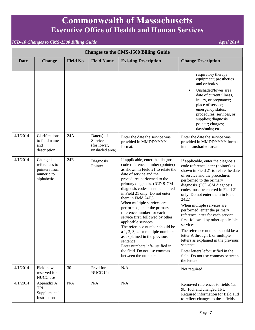| <b>Changes to the CMS-1500 Billing Guide</b> |                                                                        |           |                                                          |                                                                                                                                                                                                                                                                                                                                                                                                                                                                                                                                                                                                                                                                            |                                                                                                                                                                                                                                                                                                                                                                                                                                                                                                                                                                                                                                                                              |  |
|----------------------------------------------|------------------------------------------------------------------------|-----------|----------------------------------------------------------|----------------------------------------------------------------------------------------------------------------------------------------------------------------------------------------------------------------------------------------------------------------------------------------------------------------------------------------------------------------------------------------------------------------------------------------------------------------------------------------------------------------------------------------------------------------------------------------------------------------------------------------------------------------------------|------------------------------------------------------------------------------------------------------------------------------------------------------------------------------------------------------------------------------------------------------------------------------------------------------------------------------------------------------------------------------------------------------------------------------------------------------------------------------------------------------------------------------------------------------------------------------------------------------------------------------------------------------------------------------|--|
| <b>Date</b>                                  | <b>Change</b>                                                          | Field No. | <b>Field Name</b>                                        | <b>Existing Description</b>                                                                                                                                                                                                                                                                                                                                                                                                                                                                                                                                                                                                                                                | <b>Change Description</b>                                                                                                                                                                                                                                                                                                                                                                                                                                                                                                                                                                                                                                                    |  |
|                                              |                                                                        |           |                                                          |                                                                                                                                                                                                                                                                                                                                                                                                                                                                                                                                                                                                                                                                            | respiratory therapy<br>equipment; prosthetics<br>and orthotics.<br>Unshaded/lower area:<br>$\bullet$<br>date of current illness,<br>injury, or pregnancy;<br>place of service;<br>emergency status;<br>procedures, services, or<br>supplies; diagnosis<br>pointer; charges;<br>days/units; etc.                                                                                                                                                                                                                                                                                                                                                                              |  |
| 4/1/2014                                     | Clarifications<br>to field name<br>and<br>description.                 | 24A       | $Date(s)$ of<br>Service<br>(for lower,<br>unshaded area) | Enter the date the service was<br>provided in MMDDYYYY<br>format.                                                                                                                                                                                                                                                                                                                                                                                                                                                                                                                                                                                                          | Enter the date the service was<br>provided in MMDDYYYY format<br>in the unshaded area.                                                                                                                                                                                                                                                                                                                                                                                                                                                                                                                                                                                       |  |
| 4/1/2014                                     | Changed<br>references to<br>pointers from<br>numeric to<br>alphabetic. | 24E       | Diagnosis<br>Pointer                                     | If applicable, enter the diagnosis<br>code reference number (pointer)<br>as shown in Field 21 to relate the<br>date of service and the<br>procedures performed to the<br>primary diagnosis. (ICD-9-CM<br>diagnosis codes must be entered<br>in Field 21 only. Do not enter<br>them in Field 24E.)<br>When multiple services are<br>performed, enter the primary<br>reference number for each<br>service first, followed by other<br>applicable services.<br>The reference number should be<br>a $1, 2, 3, 4$ , or multiple numbers<br>as explained in the previous<br>sentence.<br>Enter numbers left-justified in<br>the field. Do not use commas<br>between the numbers. | If applicable, enter the diagnosis<br>code reference letter (pointer) as<br>shown in Field 21 to relate the date<br>of service and the procedures<br>performed to the primary<br>diagnosis. (ICD-CM diagnosis<br>codes must be entered in Field 21<br>only. Do not enter them in Field<br>24E.)<br>When multiple services are<br>performed, enter the primary<br>reference letter for each service<br>first, followed by other applicable<br>services.<br>The reference number should be a<br>letter A through L or multiple<br>letters as explained in the previous<br>sentence.<br>Enter letters left-justified in the<br>field. Do not use commas between<br>the letters. |  |
| 4/1/2014                                     | Field now<br>reserved for<br>NUCC use                                  | 30        | Rsvd for<br>NUCC Use                                     | N/A                                                                                                                                                                                                                                                                                                                                                                                                                                                                                                                                                                                                                                                                        | Not required                                                                                                                                                                                                                                                                                                                                                                                                                                                                                                                                                                                                                                                                 |  |
| 4/1/2014                                     | Appendix A:<br><b>TPL</b><br>Supplemental<br>Instructions              | N/A       | N/A                                                      | N/A                                                                                                                                                                                                                                                                                                                                                                                                                                                                                                                                                                                                                                                                        | Removed references to fields 1a,<br>9b, 10d, and changed TPL<br>Required information for field 11d<br>to reflect changes to these fields.                                                                                                                                                                                                                                                                                                                                                                                                                                                                                                                                    |  |